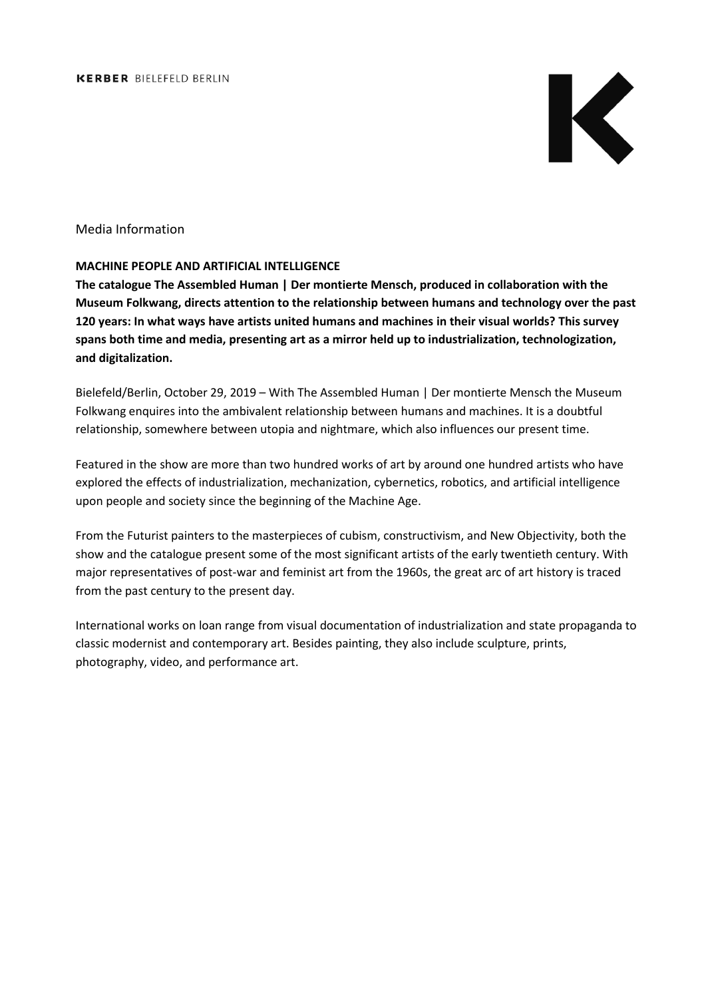

# Media Information

## **MACHINE PEOPLE AND ARTIFICIAL INTELLIGENCE**

**The catalogue The Assembled Human | Der montierte Mensch, produced in collaboration with the Museum Folkwang, directs attention to the relationship between humans and technology over the past 120 years: In what ways have artists united humans and machines in their visual worlds? This survey spans both time and media, presenting art as a mirror held up to industrialization, technologization, and digitalization.**

Bielefeld/Berlin, October 29, 2019 – With The Assembled Human | Der montierte Mensch the Museum Folkwang enquires into the ambivalent relationship between humans and machines. It is a doubtful relationship, somewhere between utopia and nightmare, which also influences our present time.

Featured in the show are more than two hundred works of art by around one hundred artists who have explored the effects of industrialization, mechanization, cybernetics, robotics, and artificial intelligence upon people and society since the beginning of the Machine Age.

From the Futurist painters to the masterpieces of cubism, constructivism, and New Objectivity, both the show and the catalogue present some of the most significant artists of the early twentieth century. With major representatives of post-war and feminist art from the 1960s, the great arc of art history is traced from the past century to the present day.

International works on loan range from visual documentation of industrialization and state propaganda to classic modernist and contemporary art. Besides painting, they also include sculpture, prints, photography, video, and performance art.